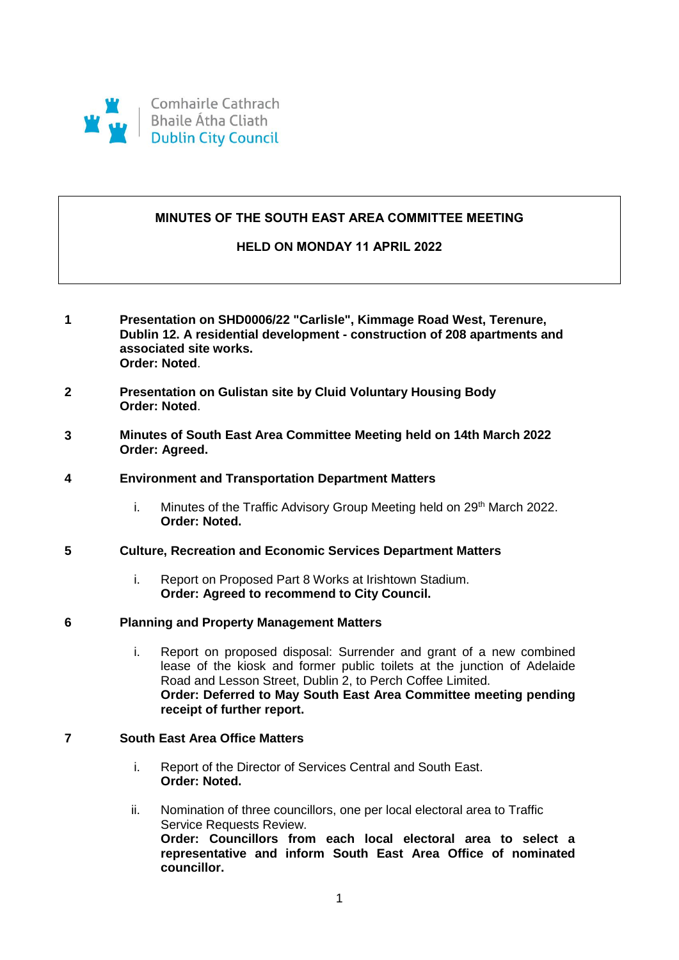

# **MINUTES OF THE SOUTH EAST AREA COMMITTEE MEETING**

# **HELD ON MONDAY 11 APRIL 2022**

- **1 Presentation on SHD0006/22 "Carlisle", Kimmage Road West, Terenure, Dublin 12. A residential development - construction of 208 apartments and associated site works. Order: Noted**.
- **2 Presentation on Gulistan site by Cluid Voluntary Housing Body Order: Noted**.
- **3 Minutes of South East Area Committee Meeting held on 14th March 2022 Order: Agreed.**
- **4 Environment and Transportation Department Matters**
	- i. Minutes of the Traffic Advisory Group Meeting held on  $29<sup>th</sup>$  March 2022. **Order: Noted.**
- **5 Culture, Recreation and Economic Services Department Matters**
	- i. Report on Proposed Part 8 Works at Irishtown Stadium. **Order: Agreed to recommend to City Council.**
- **6 Planning and Property Management Matters**
	- i. Report on proposed disposal: Surrender and grant of a new combined lease of the kiosk and former public toilets at the junction of Adelaide Road and Lesson Street, Dublin 2, to Perch Coffee Limited. **Order: Deferred to May South East Area Committee meeting pending receipt of further report.**

# **7 South East Area Office Matters**

- i. Report of the Director of Services Central and South East. **Order: Noted.**
- ii. Nomination of three councillors, one per local electoral area to Traffic Service Requests Review. **Order: Councillors from each local electoral area to select a representative and inform South East Area Office of nominated councillor.**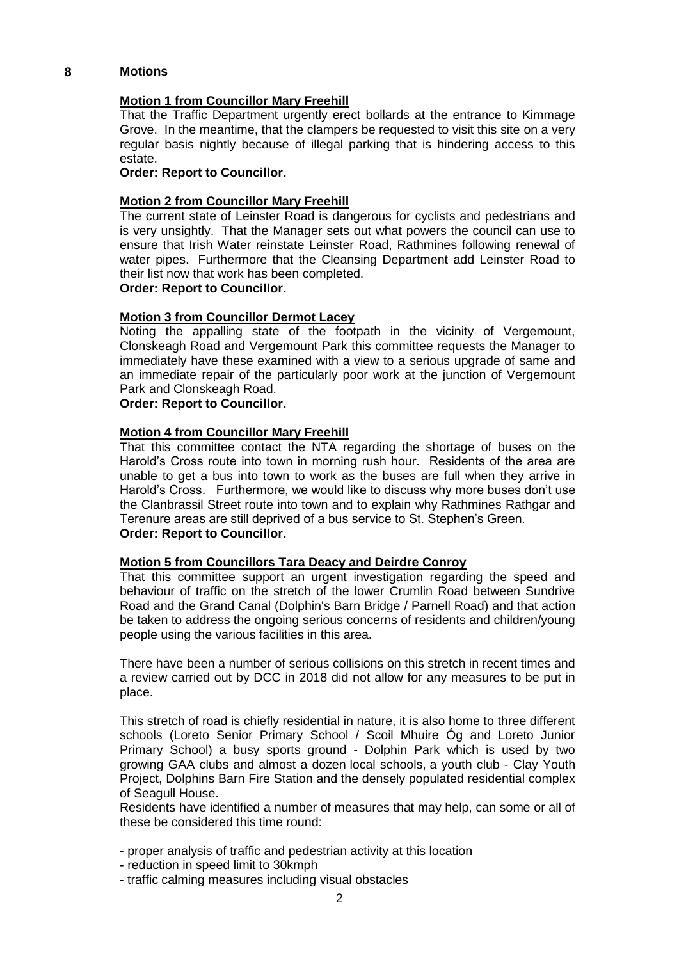#### **8 Motions**

### **Motion 1 from Councillor Mary Freehill**

That the Traffic Department urgently erect bollards at the entrance to Kimmage Grove. In the meantime, that the clampers be requested to visit this site on a very regular basis nightly because of illegal parking that is hindering access to this estate.

#### **Order: Report to Councillor.**

#### **Motion 2 from Councillor Mary Freehill**

The current state of Leinster Road is dangerous for cyclists and pedestrians and is very unsightly. That the Manager sets out what powers the council can use to ensure that Irish Water reinstate Leinster Road, Rathmines following renewal of water pipes. Furthermore that the Cleansing Department add Leinster Road to their list now that work has been completed.

# **Order: Report to Councillor.**

#### **Motion 3 from Councillor Dermot Lacey**

Noting the appalling state of the footpath in the vicinity of Vergemount, Clonskeagh Road and Vergemount Park this committee requests the Manager to immediately have these examined with a view to a serious upgrade of same and an immediate repair of the particularly poor work at the junction of Vergemount Park and Clonskeagh Road.

# **Order: Report to Councillor.**

#### **Motion 4 from Councillor Mary Freehill**

That this committee contact the NTA regarding the shortage of buses on the Harold's Cross route into town in morning rush hour. Residents of the area are unable to get a bus into town to work as the buses are full when they arrive in Harold's Cross. Furthermore, we would like to discuss why more buses don't use the Clanbrassil Street route into town and to explain why Rathmines Rathgar and Terenure areas are still deprived of a bus service to St. Stephen's Green. **Order: Report to Councillor.**

#### **Motion 5 from Councillors Tara Deacy and Deirdre Conroy**

That this committee support an urgent investigation regarding the speed and behaviour of traffic on the stretch of the lower Crumlin Road between Sundrive Road and the Grand Canal (Dolphin's Barn Bridge / Parnell Road) and that action be taken to address the ongoing serious concerns of residents and children/young people using the various facilities in this area.

There have been a number of serious collisions on this stretch in recent times and a review carried out by DCC in 2018 did not allow for any measures to be put in place.

This stretch of road is chiefly residential in nature, it is also home to three different schools (Loreto Senior Primary School / Scoil Mhuire Óg and Loreto Junior Primary School) a busy sports ground - Dolphin Park which is used by two growing GAA clubs and almost a dozen local schools, a youth club - Clay Youth Project, Dolphins Barn Fire Station and the densely populated residential complex of Seagull House.

Residents have identified a number of measures that may help, can some or all of these be considered this time round:

- proper analysis of traffic and pedestrian activity at this location
- reduction in speed limit to 30kmph
- traffic calming measures including visual obstacles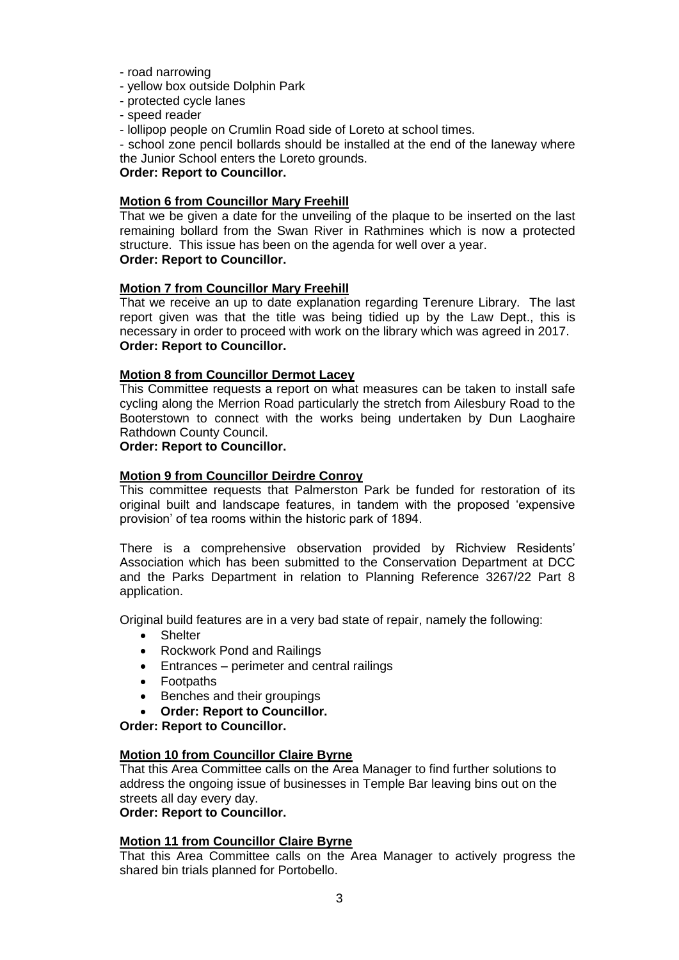- road narrowing
- yellow box outside Dolphin Park
- protected cycle lanes
- speed reader
- lollipop people on Crumlin Road side of Loreto at school times.

- school zone pencil bollards should be installed at the end of the laneway where the Junior School enters the Loreto grounds.

# **Order: Report to Councillor.**

#### **Motion 6 from Councillor Mary Freehill**

That we be given a date for the unveiling of the plaque to be inserted on the last remaining bollard from the Swan River in Rathmines which is now a protected structure. This issue has been on the agenda for well over a year. **Order: Report to Councillor.**

# **Motion 7 from Councillor Mary Freehill**

That we receive an up to date explanation regarding Terenure Library. The last report given was that the title was being tidied up by the Law Dept., this is necessary in order to proceed with work on the library which was agreed in 2017. **Order: Report to Councillor.**

#### **Motion 8 from Councillor Dermot Lacey**

This Committee requests a report on what measures can be taken to install safe cycling along the Merrion Road particularly the stretch from Ailesbury Road to the Booterstown to connect with the works being undertaken by Dun Laoghaire Rathdown County Council.

# **Order: Report to Councillor.**

# **Motion 9 from Councillor Deirdre Conroy**

This committee requests that Palmerston Park be funded for restoration of its original built and landscape features, in tandem with the proposed 'expensive provision' of tea rooms within the historic park of 1894.

There is a comprehensive observation provided by Richview Residents' Association which has been submitted to the Conservation Department at DCC and the Parks Department in relation to Planning Reference 3267/22 Part 8 application.

Original build features are in a very bad state of repair, namely the following:

- **•** Shelter
- Rockwork Pond and Railings
- Entrances perimeter and central railings
- Footpaths
- Benches and their groupings
- **Order: Report to Councillor.**

**Order: Report to Councillor.**

#### **Motion 10 from Councillor Claire Byrne**

That this Area Committee calls on the Area Manager to find further solutions to address the ongoing issue of businesses in Temple Bar leaving bins out on the streets all day every day.

### **Order: Report to Councillor.**

#### **Motion 11 from Councillor Claire Byrne**

That this Area Committee calls on the Area Manager to actively progress the shared bin trials planned for Portobello.